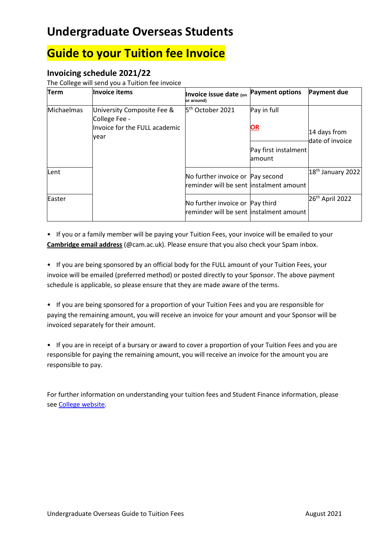# **Undergraduate Overseas Students**

## **Guide to your Tuition fee Invoice**

### **Invoicing schedule 2021/22**

The College will send you a Tuition fee invoice

| Term       | Invoice items                                                                        | Invoice issue date (on<br>or around)                                         | <b>Payment options</b>          | <b>Payment due</b>              |
|------------|--------------------------------------------------------------------------------------|------------------------------------------------------------------------------|---------------------------------|---------------------------------|
| Michaelmas | University Composite Fee &<br>College Fee -<br>Invoice for the FULL academic<br>year | 5 <sup>th</sup> October 2021                                                 | Pay in full<br><u>OR</u>        | 14 days from<br>date of invoice |
|            |                                                                                      |                                                                              | Pay first instalment<br>lamount |                                 |
| Lent       |                                                                                      | No further invoice or Pay second<br>reminder will be sent linstalment amount |                                 | $ 18th$ January 2022            |
| Easter     |                                                                                      | No further invoice or Pay third<br>reminder will be sent linstalment amount  |                                 | 26 <sup>th</sup> April 2022     |

• If you or a family member will be paying your Tuition Fees, your invoice will be emailed to your **Cambridge email address** (@cam.ac.uk). Please ensure that you also check your Spam inbox.

• If you are being sponsored by an official body for the FULL amount of your Tuition Fees, your invoice will be emailed (preferred method) or posted directly to your Sponsor. The above payment schedule is applicable, so please ensure that they are made aware of the terms.

• If you are being sponsored for a proportion of your Tuition Fees and you are responsible for paying the remaining amount, you will receive an invoice for your amount and your Sponsor will be invoiced separately for their amount.

• If you are in receipt of a bursary or award to cover a proportion of your Tuition Fees and you are responsible for paying the remaining amount, you will receive an invoice for the amount you are responsible to pay.

For further information on understanding your tuition fees and Student Finance information, please se[e College website.](https://www.murrayedwards.cam.ac.uk/college-life/finance-and-funding/student-finance)